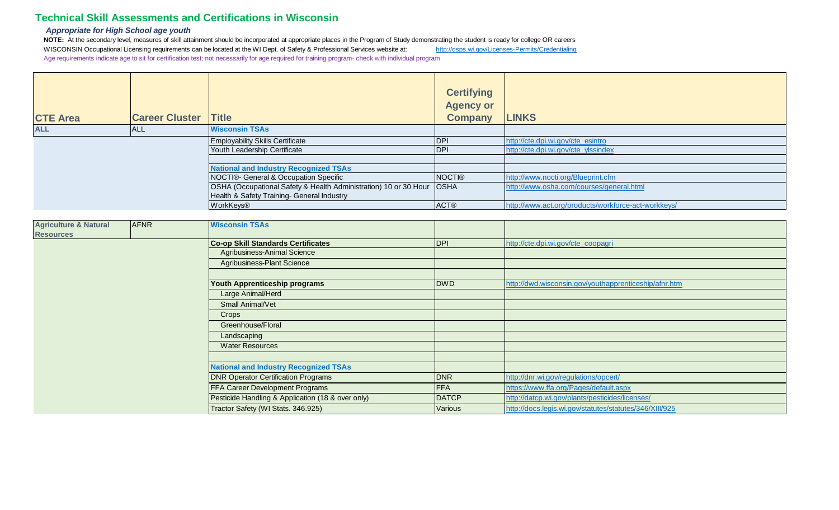## **Technical Skill Assessments and Certifications in Wisconsin**

## *Appropriate for High School age youth*

NOTE: At the secondary level, measures of skill attainment should be incorporated at appropriate places in the Program of Study demonstrating the student is ready for college OR careers WISCONSIN Occupational Licensing requirements can be located at the WI Dept. of Safety & Professional Services website at: <http://dsps.wi.gov/Licenses-Permits/Credentialing> Age requirements indicate age to sit for certification test; not necessarily for age required for training program- check with individual program

|                 |                       |                                                                         | <b>Certifying</b><br><b>Agency or</b> |                                                     |
|-----------------|-----------------------|-------------------------------------------------------------------------|---------------------------------------|-----------------------------------------------------|
| <b>CTE Area</b> | <b>Career Cluster</b> | <b>Title</b>                                                            | <b>Company</b>                        | <b>LINKS</b>                                        |
| <b>ALL</b>      | <b>ALL</b>            | <b>Wisconsin TSAs</b>                                                   |                                       |                                                     |
|                 |                       | <b>Employability Skills Certificate</b>                                 | <b>IDPI</b>                           | http://cte.dpi.wi.gov/cte_esintro                   |
|                 |                       | Youth Leadership Certificate                                            | <b>IDPI</b>                           | http://cte.dpi.wi.gov/cte_ylssindex                 |
|                 |                       |                                                                         |                                       |                                                     |
|                 |                       | <b>National and Industry Recognized TSAs</b>                            |                                       |                                                     |
|                 |                       | NOCTI®- General & Occupation Specific                                   | <b>NOCTI®</b>                         | http://www.nocti.org/Blueprint.cfm                  |
|                 |                       | OSHA (Occupational Safety & Health Administration) 10 or 30 Hour   OSHA |                                       | http://www.osha.com/courses/general.html            |
|                 |                       | Health & Safety Training- General Industry                              |                                       |                                                     |
|                 |                       | WorkKeys®                                                               | <b>ACT®</b>                           | http://www.act.org/products/workforce-act-workkeys/ |

| <b>Agriculture &amp; Natural</b> | <b>AFNR</b> | <b>Wisconsin TSAs</b>                             |              |                                                         |
|----------------------------------|-------------|---------------------------------------------------|--------------|---------------------------------------------------------|
| <b>Resources</b>                 |             |                                                   |              |                                                         |
|                                  |             | <b>Co-op Skill Standards Certificates</b>         | DPI          | http://cte.dpi.wi.gov/cte_coopagri                      |
|                                  |             | Agribusiness-Animal Science                       |              |                                                         |
|                                  |             | <b>Agribusiness-Plant Science</b>                 |              |                                                         |
|                                  |             |                                                   |              |                                                         |
|                                  |             | Youth Apprenticeship programs                     | <b>DWD</b>   | http://dwd.wisconsin.gov/youthapprenticeship/afnr.htm   |
|                                  |             | Large Animal/Herd                                 |              |                                                         |
|                                  |             | <b>Small Animal/Vet</b>                           |              |                                                         |
|                                  |             | Crops                                             |              |                                                         |
|                                  |             | Greenhouse/Floral                                 |              |                                                         |
|                                  |             | Landscaping                                       |              |                                                         |
|                                  |             | <b>Water Resources</b>                            |              |                                                         |
|                                  |             |                                                   |              |                                                         |
|                                  |             | <b>National and Industry Recognized TSAs</b>      |              |                                                         |
|                                  |             | <b>DNR Operator Certification Programs</b>        | <b>DNR</b>   | http://dnr.wi.gov/regulations/opcert/                   |
|                                  |             | FFA Career Development Programs                   | <b>FFA</b>   | https://www.ffa.org/Pages/default.aspx                  |
|                                  |             | Pesticide Handling & Application (18 & over only) | <b>DATCP</b> | http://datcp.wi.gov/plants/pesticides/licenses/         |
|                                  |             | Tractor Safety (WI Stats. 346.925)                | Various      | http://docs.legis.wi.gov/statutes/statutes/346/XIII/925 |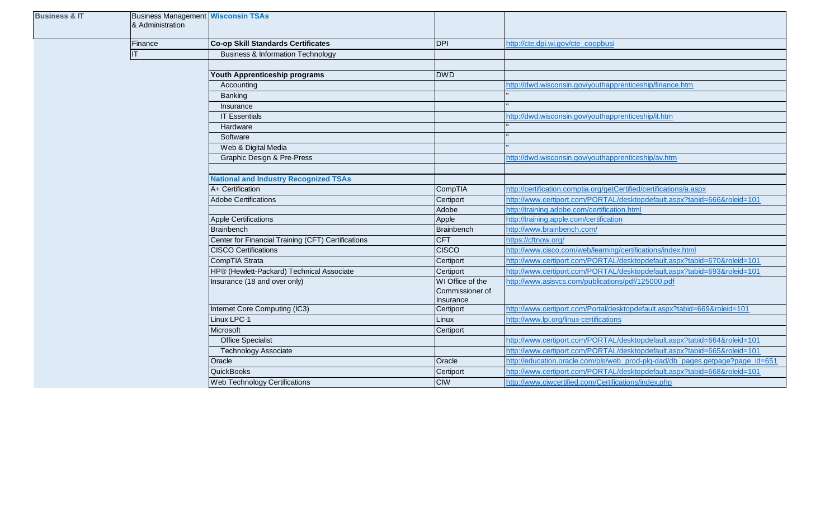| <b>Business &amp; IT</b> | & Administration | <b>Business Management Wisconsin TSAs</b>          |                                     |                                                                               |
|--------------------------|------------------|----------------------------------------------------|-------------------------------------|-------------------------------------------------------------------------------|
|                          | Finance          | <b>Co-op Skill Standards Certificates</b>          | <b>DPI</b>                          | http://cte.dpi.wi.gov/cte_coopbusi                                            |
|                          | IT               | <b>Business &amp; Information Technology</b>       |                                     |                                                                               |
|                          |                  |                                                    |                                     |                                                                               |
|                          |                  | Youth Apprenticeship programs                      | <b>DWD</b>                          |                                                                               |
|                          |                  | Accounting                                         |                                     | http://dwd.wisconsin.gov/youthapprenticeship/finance.htm                      |
|                          |                  | Banking                                            |                                     |                                                                               |
|                          |                  | Insurance                                          |                                     |                                                                               |
|                          |                  | <b>IT Essentials</b>                               |                                     | http://dwd.wisconsin.gov/youthapprenticeship/it.htm                           |
|                          |                  | Hardware                                           |                                     |                                                                               |
|                          |                  | Software                                           |                                     |                                                                               |
|                          |                  | Web & Digital Media                                |                                     |                                                                               |
|                          |                  | Graphic Design & Pre-Press                         |                                     | http://dwd.wisconsin.gov/youthapprenticeship/av.htm                           |
|                          |                  |                                                    |                                     |                                                                               |
|                          |                  | <b>National and Industry Recognized TSAs</b>       |                                     |                                                                               |
|                          |                  | A+ Certification                                   | CompTIA                             | http://certification.comptia.org/getCertified/certifications/a.aspx           |
|                          |                  | <b>Adobe Certifications</b>                        | Certiport                           | http://www.certiport.com/PORTAL/desktopdefault.aspx?tabid=666&roleid=101      |
|                          |                  |                                                    | Adobe                               | http://training.adobe.com/certification.html                                  |
|                          |                  | <b>Apple Certifications</b>                        | Apple                               | http://training.apple.com/certification                                       |
|                          |                  | <b>Brainbench</b>                                  | Brainbench                          | http://www.brainbench.com/                                                    |
|                          |                  | Center for Financial Training (CFT) Certifications | <b>CFT</b>                          | https://cftnow.org/                                                           |
|                          |                  | <b>CISCO Certifications</b>                        | <b>CISCO</b>                        | http://www.cisco.com/web/learning/certifications/index.html                   |
|                          |                  | CompTIA Strata                                     | Certiport                           | http://www.certiport.com/PORTAL/desktopdefault.aspx?tabid=670&roleid=101      |
|                          |                  | HP® (Hewlett-Packard) Technical Associate          | Certiport                           | http://www.certiport.com/PORTAL/desktopdefault.aspx?tabid=693&roleid=101      |
|                          |                  | Insurance (18 and over only)                       | WI Office of the<br>Commissioner of | http://www.asisvcs.com/publications/pdf/125000.pdf                            |
|                          |                  | Internet Core Computing (IC3)                      | Insurance<br>Certiport              | http://www.certiport.com/Portal/desktopdefault.aspx?tabid=669&roleid=101      |
|                          |                  | Linux LPC-1                                        | Linux                               | http://www.lpi.org/linux-certifications                                       |
|                          |                  | Microsoft                                          | Certiport                           |                                                                               |
|                          |                  | <b>Office Specialist</b>                           |                                     | http://www.certiport.com/PORTAL/desktopdefault.aspx?tabid=664&roleid=101      |
|                          |                  | <b>Technology Associate</b>                        |                                     | http://www.certiport.com/PORTAL/desktopdefault.aspx?tabid=665&roleid=101      |
|                          |                  | Oracle                                             | Oracle                              | http://education.oracle.com/pls/web_prod-plq-dad/db_pages.getpage?page_id=651 |
|                          |                  | <b>QuickBooks</b>                                  | Certiport                           | http://www.certiport.com/PORTAL/desktopdefault.aspx?tabid=668&roleid=101      |
|                          |                  | Web Technology Certifications                      | <b>CIW</b>                          | http://www.ciwcertified.com/Certifications/index.php                          |
|                          |                  |                                                    |                                     |                                                                               |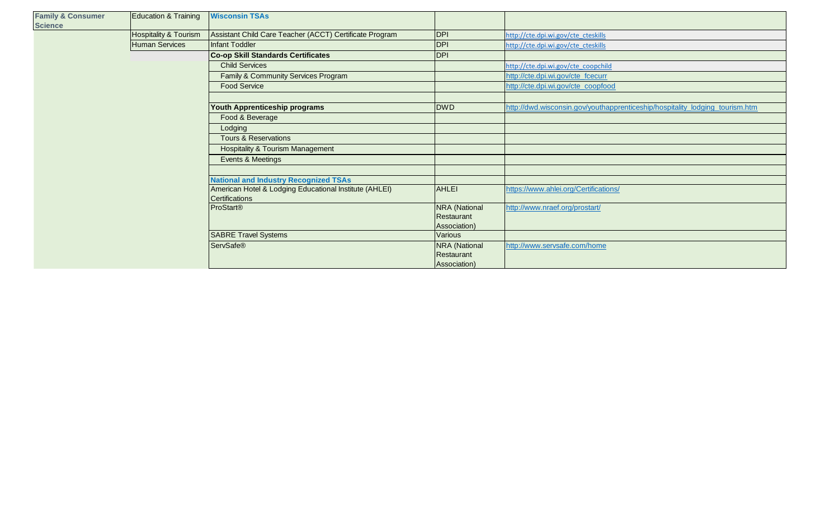| <b>Family &amp; Consumer</b><br><b>Science</b> | Education & Training             | <b>Wisconsin TSAs</b>                                                    |                            |                                                                              |
|------------------------------------------------|----------------------------------|--------------------------------------------------------------------------|----------------------------|------------------------------------------------------------------------------|
|                                                | <b>Hospitality &amp; Tourism</b> | Assistant Child Care Teacher (ACCT) Certificate Program                  | <b>DPI</b>                 | http://cte.dpi.wi.gov/cte_cteskills                                          |
|                                                | <b>Human Services</b>            | <b>Infant Toddler</b>                                                    | <b>DPI</b>                 | http://cte.dpi.wi.gov/cte_cteskills                                          |
|                                                |                                  | <b>Co-op Skill Standards Certificates</b>                                | <b>DPI</b>                 |                                                                              |
|                                                |                                  | <b>Child Services</b>                                                    |                            | http://cte.dpi.wi.gov/cte_coopchild                                          |
|                                                |                                  | Family & Community Services Program                                      |                            | http://cte.dpi.wi.gov/cte_fcecurr                                            |
|                                                |                                  | <b>Food Service</b>                                                      |                            | http://cte.dpi.wi.gov/cte_coopfood                                           |
|                                                |                                  |                                                                          |                            |                                                                              |
|                                                |                                  | Youth Apprenticeship programs                                            | <b>DWD</b>                 | http://dwd.wisconsin.gov/youthapprenticeship/hospitality_lodging_tourism.htm |
|                                                |                                  | Food & Beverage                                                          |                            |                                                                              |
|                                                |                                  | Lodging                                                                  |                            |                                                                              |
|                                                |                                  | <b>Tours &amp; Reservations</b>                                          |                            |                                                                              |
|                                                |                                  | <b>Hospitality &amp; Tourism Management</b>                              |                            |                                                                              |
|                                                |                                  | Events & Meetings                                                        |                            |                                                                              |
|                                                |                                  |                                                                          |                            |                                                                              |
|                                                |                                  | <b>National and Industry Recognized TSAs</b>                             |                            |                                                                              |
|                                                |                                  | American Hotel & Lodging Educational Institute (AHLEI)<br>Certifications | AHLEI                      | https://www.ahlei.org/Certifications/                                        |
|                                                |                                  | <b>ProStart®</b>                                                         | <b>NRA</b> (National       | http://www.nraef.org/prostart/                                               |
|                                                |                                  |                                                                          | Restaurant                 |                                                                              |
|                                                |                                  | <b>SABRE Travel Systems</b>                                              | Association)<br>Various    |                                                                              |
|                                                |                                  |                                                                          |                            |                                                                              |
|                                                |                                  | <b>ServSafe®</b>                                                         | <b>NRA</b> (National       | http://www.servsafe.com/home                                                 |
|                                                |                                  |                                                                          | Restaurant<br>Association) |                                                                              |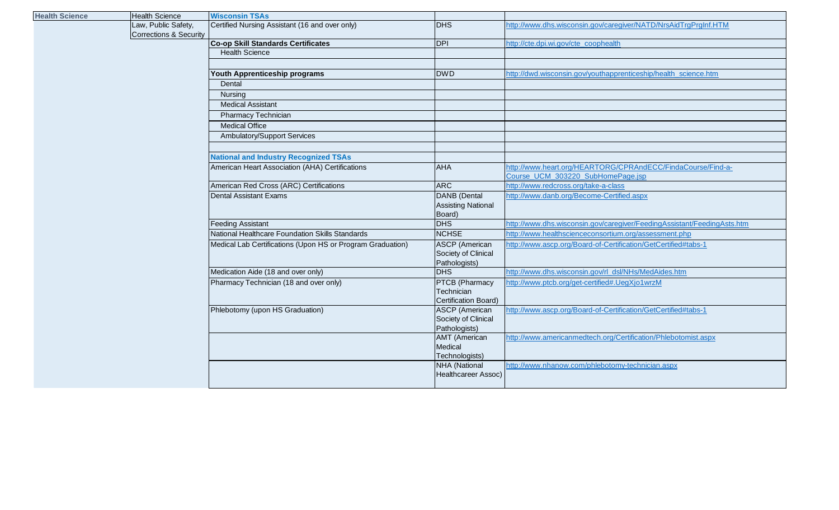| <b>Health Science</b> | <b>Health Science</b>                         | <b>Wisconsin TSAs</b>                                      |                                     |                                                                         |
|-----------------------|-----------------------------------------------|------------------------------------------------------------|-------------------------------------|-------------------------------------------------------------------------|
|                       | Law, Public Safety,<br>Corrections & Security | Certified Nursing Assistant (16 and over only)             | DHS                                 | http://www.dhs.wisconsin.gov/caregiver/NATD/NrsAidTrgPrgInf.HTM         |
|                       |                                               | Co-op Skill Standards Certificates                         | <b>DPI</b>                          | http://cte.dpi.wi.gov/cte_coophealth                                    |
|                       |                                               | <b>Health Science</b>                                      |                                     |                                                                         |
|                       |                                               |                                                            |                                     |                                                                         |
|                       |                                               | Youth Apprenticeship programs                              | <b>DWD</b>                          | http://dwd.wisconsin.gov/youthapprenticeship/health_science.htm         |
|                       |                                               | Dental                                                     |                                     |                                                                         |
|                       |                                               | Nursing                                                    |                                     |                                                                         |
|                       |                                               | <b>Medical Assistant</b>                                   |                                     |                                                                         |
|                       |                                               | Pharmacy Technician                                        |                                     |                                                                         |
|                       |                                               | <b>Medical Office</b>                                      |                                     |                                                                         |
|                       |                                               | Ambulatory/Support Services                                |                                     |                                                                         |
|                       |                                               |                                                            |                                     |                                                                         |
|                       |                                               | <b>National and Industry Recognized TSAs</b>               |                                     |                                                                         |
|                       |                                               | American Heart Association (AHA) Certifications            | <b>AHA</b>                          | http://www.heart.org/HEARTORG/CPRAndECC/FindaCourse/Find-a-             |
|                       |                                               |                                                            |                                     | Course_UCM_303220_SubHomePage.jsp                                       |
|                       |                                               | American Red Cross (ARC) Certifications                    | <b>ARC</b>                          | http://www.redcross.org/take-a-class                                    |
|                       |                                               | <b>Dental Assistant Exams</b>                              | DANB (Dental                        | http://www.danb.org/Become-Certified.aspx                               |
|                       |                                               |                                                            | <b>Assisting National</b>           |                                                                         |
|                       |                                               |                                                            | Board)                              |                                                                         |
|                       |                                               | <b>Feeding Assistant</b>                                   | <b>DHS</b>                          | http://www.dhs.wisconsin.gov/caregiver/FeedingAssistant/FeedingAsts.htm |
|                       |                                               | National Healthcare Foundation Skills Standards            | <b>NCHSE</b>                        | http://www.healthscienceconsortium.org/assessment.php                   |
|                       |                                               | Medical Lab Certifications (Upon HS or Program Graduation) | <b>ASCP</b> (American               | http://www.ascp.org/Board-of-Certification/GetCertified#tabs-1          |
|                       |                                               |                                                            | Society of Clinical                 |                                                                         |
|                       |                                               |                                                            | Pathologists)<br><b>DHS</b>         | http://www.dhs.wisconsin.gov/rl_dsl/NHs/MedAides.htm                    |
|                       |                                               | Medication Aide (18 and over only)                         |                                     |                                                                         |
|                       |                                               | Pharmacy Technician (18 and over only)                     | <b>PTCB</b> (Pharmacy<br>Technician | http://www.ptcb.org/get-certified#.UegXjo1wrzM                          |
|                       |                                               |                                                            | Certification Board)                |                                                                         |
|                       |                                               | Phlebotomy (upon HS Graduation)                            | <b>ASCP</b> (American               | http://www.ascp.org/Board-of-Certification/GetCertified#tabs-1          |
|                       |                                               |                                                            | Society of Clinical                 |                                                                         |
|                       |                                               |                                                            | Pathologists)                       |                                                                         |
|                       |                                               |                                                            | <b>AMT</b> (American                | http://www.americanmedtech.org/Certification/Phlebotomist.aspx          |
|                       |                                               |                                                            | Medical                             |                                                                         |
|                       |                                               |                                                            | Technologists)                      |                                                                         |
|                       |                                               |                                                            | <b>NHA</b> (National                | http://www.nhanow.com/phlebotomy-technician.aspx                        |
|                       |                                               |                                                            | <b>Healthcareer Assoc)</b>          |                                                                         |
|                       |                                               |                                                            |                                     |                                                                         |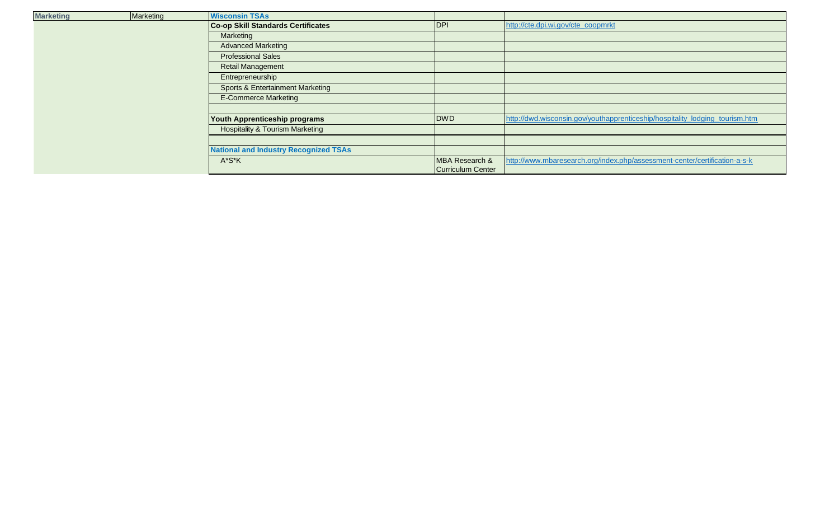| <b>Marketing</b> | Marketing | <b>Wisconsin TSAs</b>                        |                   |                                                                              |
|------------------|-----------|----------------------------------------------|-------------------|------------------------------------------------------------------------------|
|                  |           | <b>Co-op Skill Standards Certificates</b>    | <b>IDPI</b>       | http://cte.dpi.wi.gov/cte_coopmrkt                                           |
|                  |           | Marketing                                    |                   |                                                                              |
|                  |           | <b>Advanced Marketing</b>                    |                   |                                                                              |
|                  |           | <b>Professional Sales</b>                    |                   |                                                                              |
|                  |           | Retail Management                            |                   |                                                                              |
|                  |           | Entrepreneurship                             |                   |                                                                              |
|                  |           | <b>Sports &amp; Entertainment Marketing</b>  |                   |                                                                              |
|                  |           | <b>E-Commerce Marketing</b>                  |                   |                                                                              |
|                  |           |                                              |                   |                                                                              |
|                  |           | Youth Apprenticeship programs                | <b>DWD</b>        | http://dwd.wisconsin.gov/youthapprenticeship/hospitality_lodging_tourism.htm |
|                  |           | <b>Hospitality &amp; Tourism Marketing</b>   |                   |                                                                              |
|                  |           |                                              |                   |                                                                              |
|                  |           | <b>National and Industry Recognized TSAs</b> |                   |                                                                              |
|                  |           | A*S*K                                        | MBA Research &    | http://www.mbaresearch.org/index.php/assessment-center/certification-a-s-k   |
|                  |           |                                              | Curriculum Center |                                                                              |